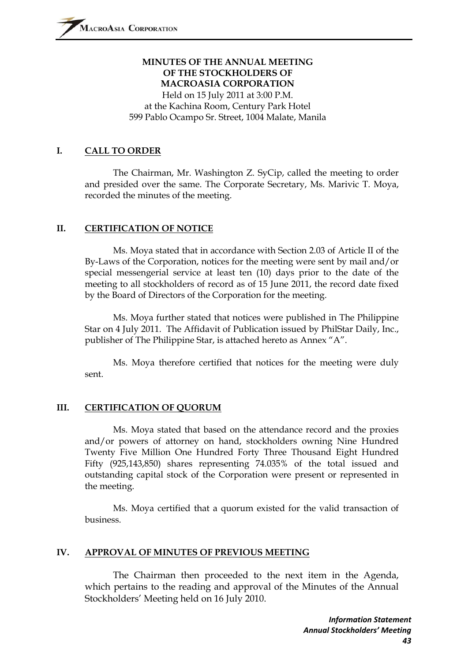## **MINUTES OF THE ANNUAL MEETING OF THE STOCKHOLDERS OF MACROASIA CORPORATION**  Held on 15 July 2011 at 3:00 P.M.

at the Kachina Room, Century Park Hotel 599 Pablo Ocampo Sr. Street, 1004 Malate, Manila

#### **I. CALL TO ORDER**

The Chairman, Mr. Washington Z. SyCip, called the meeting to order and presided over the same. The Corporate Secretary, Ms. Marivic T. Moya, recorded the minutes of the meeting.

#### **II. CERTIFICATION OF NOTICE**

Ms. Moya stated that in accordance with Section 2.03 of Article II of the By-Laws of the Corporation, notices for the meeting were sent by mail and/or special messengerial service at least ten (10) days prior to the date of the meeting to all stockholders of record as of 15 June 2011, the record date fixed by the Board of Directors of the Corporation for the meeting.

Ms. Moya further stated that notices were published in The Philippine Star on 4 July 2011. The Affidavit of Publication issued by PhilStar Daily, Inc., publisher of The Philippine Star, is attached hereto as Annex "A".

Ms. Moya therefore certified that notices for the meeting were duly sent.

#### **III. CERTIFICATION OF QUORUM**

Ms. Moya stated that based on the attendance record and the proxies and/or powers of attorney on hand, stockholders owning Nine Hundred Twenty Five Million One Hundred Forty Three Thousand Eight Hundred Fifty (925,143,850) shares representing 74.035% of the total issued and outstanding capital stock of the Corporation were present or represented in the meeting.

Ms. Moya certified that a quorum existed for the valid transaction of business.

#### **IV. APPROVAL OF MINUTES OF PREVIOUS MEETING**

The Chairman then proceeded to the next item in the Agenda, which pertains to the reading and approval of the Minutes of the Annual Stockholders' Meeting held on 16 July 2010.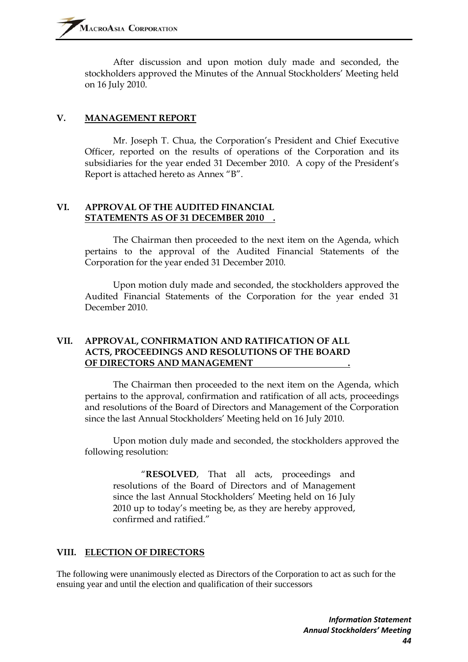After discussion and upon motion duly made and seconded, the stockholders approved the Minutes of the Annual Stockholders' Meeting held on 16 July 2010.

#### **V. MANAGEMENT REPORT**

Mr. Joseph T. Chua, the Corporation's President and Chief Executive Officer, reported on the results of operations of the Corporation and its subsidiaries for the year ended 31 December 2010. A copy of the President's Report is attached hereto as Annex "B".

#### **VI. APPROVAL OF THE AUDITED FINANCIAL STATEMENTS AS OF 31 DECEMBER 2010 .**

The Chairman then proceeded to the next item on the Agenda, which pertains to the approval of the Audited Financial Statements of the Corporation for the year ended 31 December 2010.

Upon motion duly made and seconded, the stockholders approved the Audited Financial Statements of the Corporation for the year ended 31 December 2010.

#### **VII. APPROVAL, CONFIRMATION AND RATIFICATION OF ALL ACTS, PROCEEDINGS AND RESOLUTIONS OF THE BOARD OF DIRECTORS AND MANAGEMENT .**

The Chairman then proceeded to the next item on the Agenda, which pertains to the approval, confirmation and ratification of all acts, proceedings and resolutions of the Board of Directors and Management of the Corporation since the last Annual Stockholders' Meeting held on 16 July 2010.

Upon motion duly made and seconded, the stockholders approved the following resolution:

"**RESOLVED**, That all acts, proceedings and resolutions of the Board of Directors and of Management since the last Annual Stockholders' Meeting held on 16 July 2010 up to today's meeting be, as they are hereby approved, confirmed and ratified."

#### **VIII. ELECTION OF DIRECTORS**

The following were unanimously elected as Directors of the Corporation to act as such for the ensuing year and until the election and qualification of their successors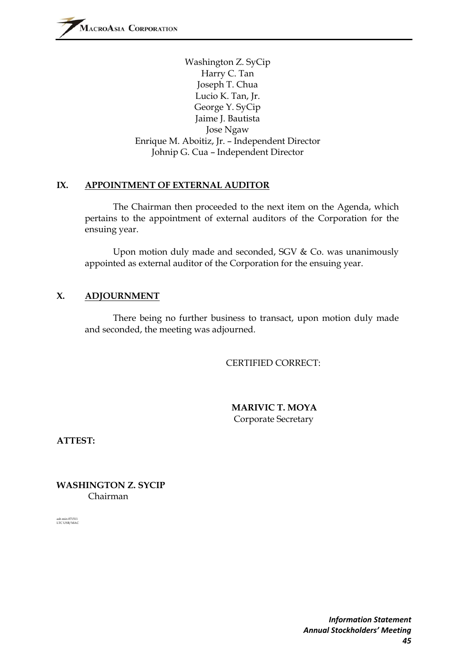Washington Z. SyCip Harry C. Tan Joseph T. Chua Lucio K. Tan, Jr. George Y. SyCip Jaime J. Bautista Jose Ngaw Enrique M. Aboitiz, Jr. – Independent Director Johnip G. Cua – Independent Director

#### **IX. APPOINTMENT OF EXTERNAL AUDITOR**

The Chairman then proceeded to the next item on the Agenda, which pertains to the appointment of external auditors of the Corporation for the ensuing year.

Upon motion duly made and seconded, SGV & Co. was unanimously appointed as external auditor of the Corporation for the ensuing year.

#### **X. ADJOURNMENT**

There being no further business to transact, upon motion duly made and seconded, the meeting was adjourned.

CERTIFIED CORRECT:

 **MARIVIC T. MOYA**  Corporate Secretary

**ATTEST:** 

**WASHINGTON Z. SYCIP**  Chairman

ash min 071511 LTC USB/MAC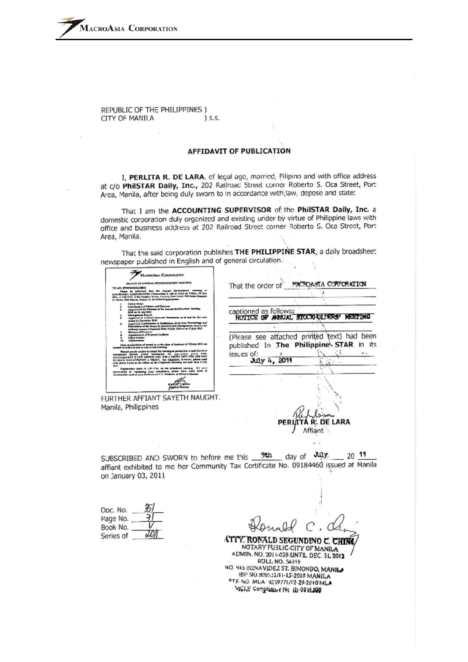REPUBLIC OF THE PHILIPPINES ) CITY OF MANILA s.s.

#### **AFFIDAVIT OF PUBLICATION**

I, PERLITA R. DE LARA, of legal age, married, Filipino and with office address at c/o PhilSTAR Daily, Inc., 202 Railroad Street comer Roberto S. Oca Street, Port Area, Manila, after being duly sworn to in accordance with law, depose and state:

That I am the ACCOUNTING SUPERVISOR of the PhilSTAR Daily, Inc. a domestic corporation duly organized and existing under by virtue of Philippine laws with office and business address at 202 Railroad Street corner Roberto S. Oca Street, Port Area, Manila.

That the said corporation publishes THE PHILIPPINE STAR, a daily broadsheet newspaper published in English and of general circulation.

| LACHIDARIA CORPORATION<br>MAINER OF ANNUAL STOCKHOLD ERS' MAINTING<br>TO ATL STECKHOLOGIES<br>Peace by informat that the August Distancester, August<br>MACROARS, CORPORATION ("Macrochic") will be beld on Priday, 15 July<br>2011, at New P.M. at the Kashkon Roma, Contrary Pork Hourt, 199 Fights County's<br>to flavor, IGM blazzie, Monda to the following purposes.<br>Call at Order<br>Certification of Motor and Queens<br>Apparent of the Minneso of the Annual Stackholmer Member<br>hold on 18 July 2012<br><b>Mangeron Report</b><br>Apparent of Asiation transvict Generates as of and for the<br>welled 31 Outerstar 3030<br>Appened Conferences & Retirement of 43 Arm, Proceedings and<br>Environment the Board of Library's and interogramm, show in the<br>architect source of fractions from 14 July 2020 ap to 17 July 2011.<br><b>Gloryon of Directors</b><br><b>Applications of Extend Auditors</b><br><b>Cabus Martiers</b><br><b>Advertising</b><br>Dely strakholders of several as at the class of business of 15 june 27.1 are<br>of homeling of and is vice at the movema.<br>Should you be acable to attend the meeting in person but would like to be<br>earned theme; your animately the systematic proof facts.<br>MANAGEMENT IS NOT ARCING FOUROR A PROXY ARD YOU ARE NOT<br>try starts inalizations for a succeed. For edidation, however, please send<br>Jour prosp house in the COlay of the Corporate teachers and later than 3 july<br>mit.<br>Engineering starts of 200 P.M. on the scheduled covering. The prior<br>convenient in registering your standards, please have some lock of | MACROARIA COPPORATION<br>That the order of<br>captioned as follows:<br>NOTICE OF ANNUAL SICCIONALISRS<br>(Please see attached printed text) had<br>been<br>published In The Philippine STAR<br>issues of:<br>July 4, 2011 |
|--------------------------------------------------------------------------------------------------------------------------------------------------------------------------------------------------------------------------------------------------------------------------------------------------------------------------------------------------------------------------------------------------------------------------------------------------------------------------------------------------------------------------------------------------------------------------------------------------------------------------------------------------------------------------------------------------------------------------------------------------------------------------------------------------------------------------------------------------------------------------------------------------------------------------------------------------------------------------------------------------------------------------------------------------------------------------------------------------------------------------------------------------------------------------------------------------------------------------------------------------------------------------------------------------------------------------------------------------------------------------------------------------------------------------------------------------------------------------------------------------------------------------------------------------------------------------------------------------------------------------------|---------------------------------------------------------------------------------------------------------------------------------------------------------------------------------------------------------------------------|
| denotes the such as your Perfection (1). Persons or Driver's Cheren.                                                                                                                                                                                                                                                                                                                                                                                                                                                                                                                                                                                                                                                                                                                                                                                                                                                                                                                                                                                                                                                                                                                                                                                                                                                                                                                                                                                                                                                                                                                                                           |                                                                                                                                                                                                                           |
| FURTHER AFFIANT SAYETH NAUGHT.<br>Manila, Philippines                                                                                                                                                                                                                                                                                                                                                                                                                                                                                                                                                                                                                                                                                                                                                                                                                                                                                                                                                                                                                                                                                                                                                                                                                                                                                                                                                                                                                                                                                                                                                                          | ARA<br>ttiant                                                                                                                                                                                                             |
| SUBSCRIBED AND SWORN to before me this 5th<br>on January 03, 2011                                                                                                                                                                                                                                                                                                                                                                                                                                                                                                                                                                                                                                                                                                                                                                                                                                                                                                                                                                                                                                                                                                                                                                                                                                                                                                                                                                                                                                                                                                                                                              | July.<br>day of<br>affiant exhibited to me her Community Tax Certificate No. 09184460 issued at Manila                                                                                                                    |

| Doc. No.  |     |
|-----------|-----|
| Page No.  |     |
| Book No.  |     |
| Series of | JDI |

**ATTY. RONALD SEGUNDINO C. CHING** NOTARY PUBLIC-CITY OF MANILA ADMIN. NO. 2011-039-UNTL DEC. 31, 2012 ROLL NO. 54399 NO. 945 BENAVIDEZ ST. BINONDO, MANILA IBP NO.809532/11-15-2010 MANILA OTE NO. MLA 9239771/12-29-2010 MLA MCLE Compliance No. 11-0016.100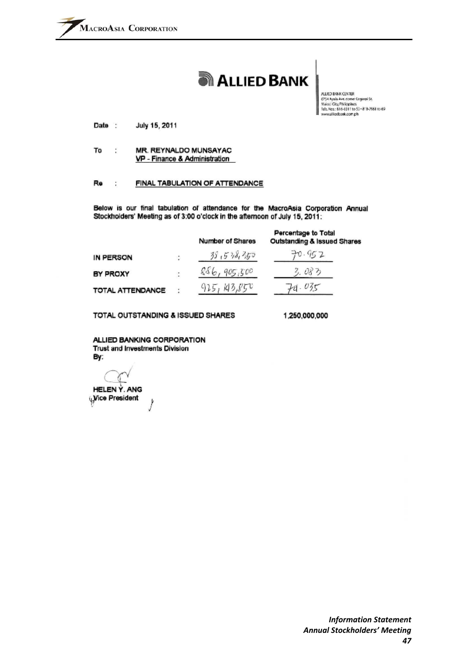# **ALLIED BANK**

ALLIED BANK CENTER 6754 Ayala Ave.comer Leganol St.<br>Makas City, Philippines Tels. Nos: 616-3311 to 52-818-7561 to 69 www.aliedbank.com.ph

July 15, 2011 Date :

MR. REYNALDO MUNSAYAC To Ť, VP - Finance & Administration

#### Re ÷ FINAL TABULATION OF ATTENDANCE

Below is our final tabulation of attendance for the MacroAsia Corporation Annual Stockholders' Meeting as of 3:00 o'clock in the afternoon of July 15, 2011:

|                  |   | <b>Number of Shares</b> | Percentage to Total<br><b>Outstanding &amp; Issued Shares</b> |
|------------------|---|-------------------------|---------------------------------------------------------------|
| IN PERSON        |   | 38,538,350              | 70.952                                                        |
| BY PROXY         |   | 886,905,500             | 3.083                                                         |
| TOTAL ATTENDANCE | ÷ | 143,850<br>925,         | 74.035                                                        |

TOTAL OUTSTANDING & ISSUED SHARES

1 250 000 000

ALLIED BANKING CORPORATION Trust and Investments Division By:

**HELEN Y. ANG** Wice President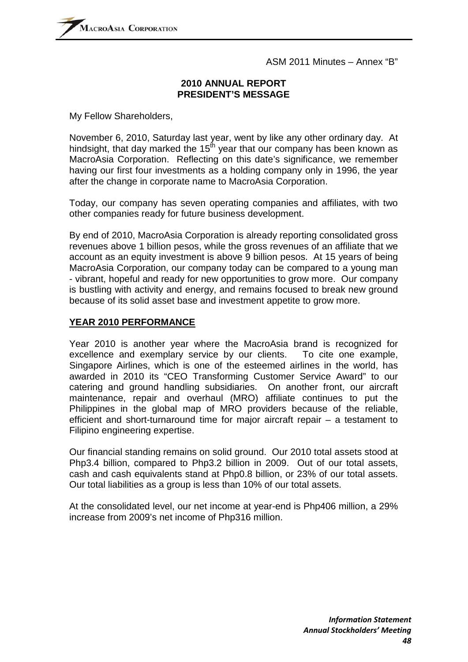#### **2010 ANNUAL REPORT PRESIDENT'S MESSAGE**

My Fellow Shareholders,

November 6, 2010, Saturday last year, went by like any other ordinary day. At hindsight, that day marked the  $15<sup>th</sup>$  year that our company has been known as MacroAsia Corporation. Reflecting on this date's significance, we remember having our first four investments as a holding company only in 1996, the year after the change in corporate name to MacroAsia Corporation.

Today, our company has seven operating companies and affiliates, with two other companies ready for future business development.

By end of 2010, MacroAsia Corporation is already reporting consolidated gross revenues above 1 billion pesos, while the gross revenues of an affiliate that we account as an equity investment is above 9 billion pesos. At 15 years of being MacroAsia Corporation, our company today can be compared to a young man - vibrant, hopeful and ready for new opportunities to grow more. Our company is bustling with activity and energy, and remains focused to break new ground because of its solid asset base and investment appetite to grow more.

#### **YEAR 2010 PERFORMANCE**

Year 2010 is another year where the MacroAsia brand is recognized for excellence and exemplary service by our clients. To cite one example, Singapore Airlines, which is one of the esteemed airlines in the world, has awarded in 2010 its "CEO Transforming Customer Service Award" to our catering and ground handling subsidiaries. On another front, our aircraft maintenance, repair and overhaul (MRO) affiliate continues to put the Philippines in the global map of MRO providers because of the reliable, efficient and short-turnaround time for major aircraft repair – a testament to Filipino engineering expertise.

Our financial standing remains on solid ground. Our 2010 total assets stood at Php3.4 billion, compared to Php3.2 billion in 2009. Out of our total assets, cash and cash equivalents stand at Php0.8 billion, or 23% of our total assets. Our total liabilities as a group is less than 10% of our total assets.

At the consolidated level, our net income at year-end is Php406 million, a 29% increase from 2009's net income of Php316 million.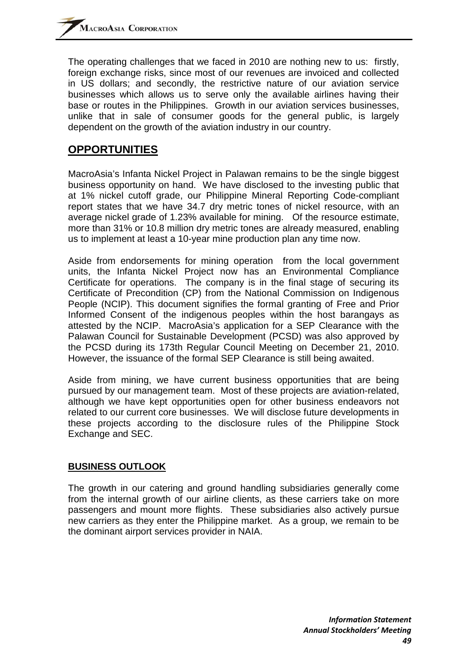The operating challenges that we faced in 2010 are nothing new to us: firstly, foreign exchange risks, since most of our revenues are invoiced and collected in US dollars; and secondly, the restrictive nature of our aviation service businesses which allows us to serve only the available airlines having their base or routes in the Philippines. Growth in our aviation services businesses, unlike that in sale of consumer goods for the general public, is largely dependent on the growth of the aviation industry in our country.

# **OPPORTUNITIES**

MacroAsia's Infanta Nickel Project in Palawan remains to be the single biggest business opportunity on hand. We have disclosed to the investing public that at 1% nickel cutoff grade, our Philippine Mineral Reporting Code-compliant report states that we have 34.7 dry metric tones of nickel resource, with an average nickel grade of 1.23% available for mining. Of the resource estimate, more than 31% or 10.8 million dry metric tones are already measured, enabling us to implement at least a 10-year mine production plan any time now.

Aside from endorsements for mining operation from the local government units, the Infanta Nickel Project now has an Environmental Compliance Certificate for operations. The company is in the final stage of securing its Certificate of Precondition (CP) from the National Commission on Indigenous People (NCIP). This document signifies the formal granting of Free and Prior Informed Consent of the indigenous peoples within the host barangays as attested by the NCIP. MacroAsia's application for a SEP Clearance with the Palawan Council for Sustainable Development (PCSD) was also approved by the PCSD during its 173th Regular Council Meeting on December 21, 2010. However, the issuance of the formal SEP Clearance is still being awaited.

Aside from mining, we have current business opportunities that are being pursued by our management team. Most of these projects are aviation-related, although we have kept opportunities open for other business endeavors not related to our current core businesses. We will disclose future developments in these projects according to the disclosure rules of the Philippine Stock Exchange and SEC.

### **BUSINESS OUTLOOK**

The growth in our catering and ground handling subsidiaries generally come from the internal growth of our airline clients, as these carriers take on more passengers and mount more flights. These subsidiaries also actively pursue new carriers as they enter the Philippine market. As a group, we remain to be the dominant airport services provider in NAIA.